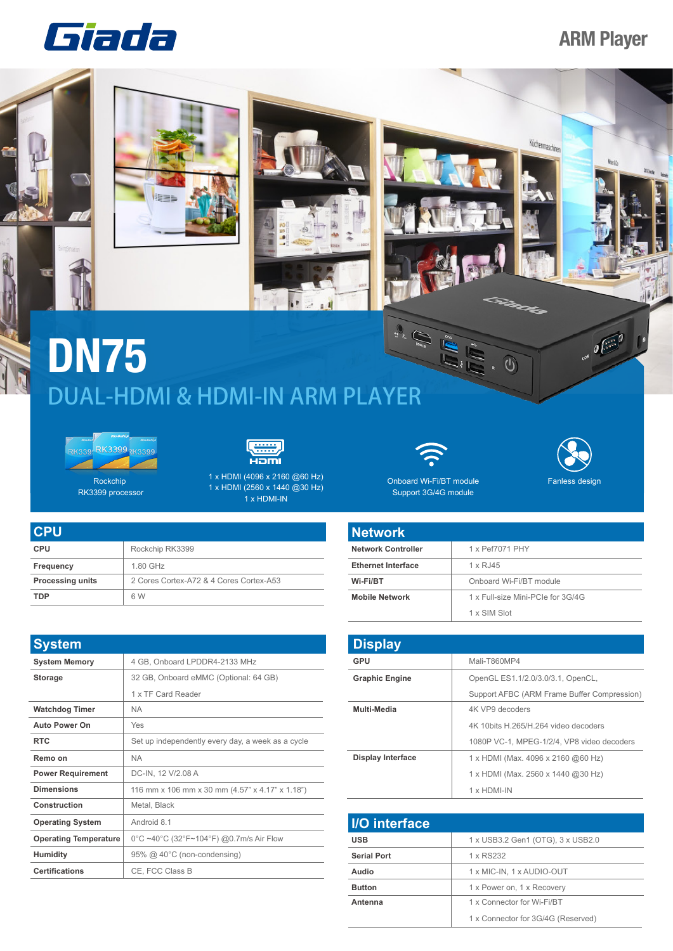## Giada

## **ARM Player**



**Antenna** 1 x Connector for Wi-Fi/BT

1 x Connector for 3G/4G (Reserved)